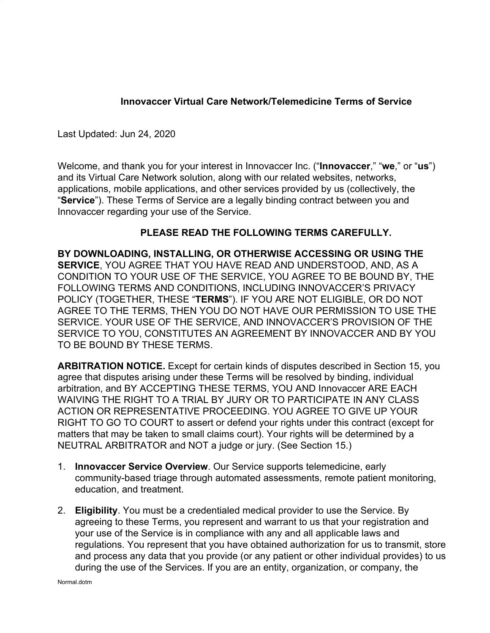# **Innovaccer Virtual Care Network/Telemedicine Terms of Service**

Last Updated: Jun 24, 2020

Welcome, and thank you for your interest in Innovaccer Inc. ("**Innovaccer**," "**we**," or "**us**") and its Virtual Care Network solution, along with our related websites, networks, applications, mobile applications, and other services provided by us (collectively, the "**Service**"). These Terms of Service are a legally binding contract between you and Innovaccer regarding your use of the Service.

## **PLEASE READ THE FOLLOWING TERMS CAREFULLY.**

**BY DOWNLOADING, INSTALLING, OR OTHERWISE ACCESSING OR USING THE SERVICE**, YOU AGREE THAT YOU HAVE READ AND UNDERSTOOD, AND, AS A CONDITION TO YOUR USE OF THE SERVICE, YOU AGREE TO BE BOUND BY, THE FOLLOWING TERMS AND CONDITIONS, INCLUDING INNOVACCER'S PRIVACY POLICY (TOGETHER, THESE "**TERMS**"). IF YOU ARE NOT ELIGIBLE, OR DO NOT AGREE TO THE TERMS, THEN YOU DO NOT HAVE OUR PERMISSION TO USE THE SERVICE. YOUR USE OF THE SERVICE, AND INNOVACCER'S PROVISION OF THE SERVICE TO YOU, CONSTITUTES AN AGREEMENT BY INNOVACCER AND BY YOU TO BE BOUND BY THESE TERMS.

**ARBITRATION NOTICE.** Except for certain kinds of disputes described in Section 15, you agree that disputes arising under these Terms will be resolved by binding, individual arbitration, and BY ACCEPTING THESE TERMS, YOU AND Innovaccer ARE EACH WAIVING THE RIGHT TO A TRIAL BY JURY OR TO PARTICIPATE IN ANY CLASS ACTION OR REPRESENTATIVE PROCEEDING. YOU AGREE TO GIVE UP YOUR RIGHT TO GO TO COURT to assert or defend your rights under this contract (except for matters that may be taken to small claims court). Your rights will be determined by a NEUTRAL ARBITRATOR and NOT a judge or jury. (See Section 15.)

- 1. **Innovaccer Service Overview**. Our Service supports telemedicine, early community-based triage through automated assessments, remote patient monitoring, education, and treatment.
- 2. **Eligibility**. You must be a credentialed medical provider to use the Service. By agreeing to these Terms, you represent and warrant to us that your registration and your use of the Service is in compliance with any and all applicable laws and regulations. You represent that you have obtained authorization for us to transmit, store and process any data that you provide (or any patient or other individual provides) to us during the use of the Services. If you are an entity, organization, or company, the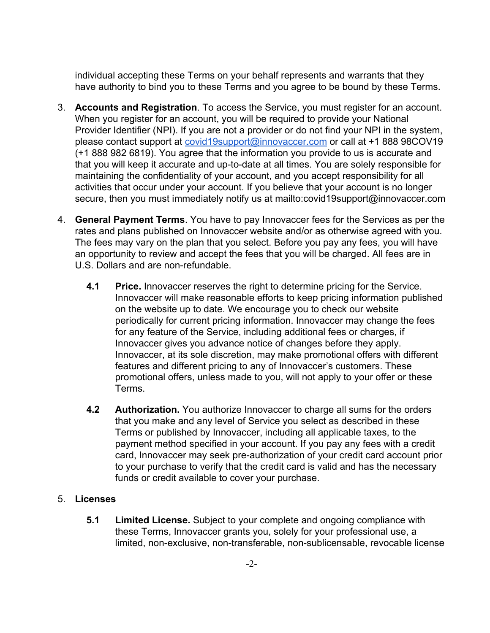individual accepting these Terms on your behalf represents and warrants that they have authority to bind you to these Terms and you agree to be bound by these Terms.

- 3. **Accounts and Registration**. To access the Service, you must register for an account. When you register for an account, you will be required to provide your National Provider Identifier (NPI). If you are not a provider or do not find your NPI in the system, please contact support at [covid19support@innovaccer.com](mailto:covid19support@innovaccer.com) or call at +1 888 98COV19 (+1 888 982 6819). You agree that the information you provide to us is accurate and that you will keep it accurate and up-to-date at all times. You are solely responsible for maintaining the confidentiality of your account, and you accept responsibility for all activities that occur under your account. If you believe that your account is no longer secure, then you must immediately notify us at mailto:covid19support@innovaccer.com
- 4. **General Payment Terms**. You have to pay Innovaccer fees for the Services as per the rates and plans published on Innovaccer website and/or as otherwise agreed with you. The fees may vary on the plan that you select. Before you pay any fees, you will have an opportunity to review and accept the fees that you will be charged. All fees are in U.S. Dollars and are non-refundable.
	- **4.1 Price.** Innovaccer reserves the right to determine pricing for the Service. Innovaccer will make reasonable efforts to keep pricing information published on the website up to date. We encourage you to check our website periodically for current pricing information. Innovaccer may change the fees for any feature of the Service, including additional fees or charges, if Innovaccer gives you advance notice of changes before they apply. Innovaccer, at its sole discretion, may make promotional offers with different features and different pricing to any of Innovaccer's customers. These promotional offers, unless made to you, will not apply to your offer or these Terms.
	- **4.2 Authorization.** You authorize Innovaccer to charge all sums for the orders that you make and any level of Service you select as described in these Terms or published by Innovaccer, including all applicable taxes, to the payment method specified in your account. If you pay any fees with a credit card, Innovaccer may seek pre-authorization of your credit card account prior to your purchase to verify that the credit card is valid and has the necessary funds or credit available to cover your purchase.

## 5. **Licenses**

**5.1 Limited License.** Subject to your complete and ongoing compliance with these Terms, Innovaccer grants you, solely for your professional use, a limited, non-exclusive, non-transferable, non-sublicensable, revocable license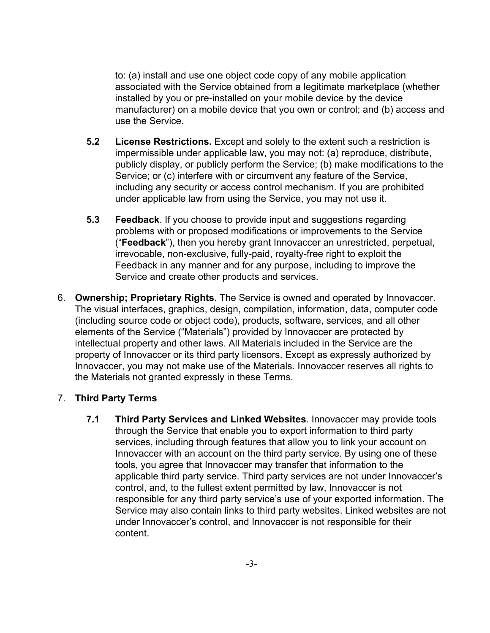to: (a) install and use one object code copy of any mobile application associated with the Service obtained from a legitimate marketplace (whether installed by you or pre-installed on your mobile device by the device manufacturer) on a mobile device that you own or control; and (b) access and use the Service.

- **5.2 License Restrictions.** Except and solely to the extent such a restriction is impermissible under applicable law, you may not: (a) reproduce, distribute, publicly display, or publicly perform the Service; (b) make modifications to the Service; or (c) interfere with or circumvent any feature of the Service, including any security or access control mechanism. If you are prohibited under applicable law from using the Service, you may not use it.
- **5.3 Feedback**. If you choose to provide input and suggestions regarding problems with or proposed modifications or improvements to the Service ("**Feedback**"), then you hereby grant Innovaccer an unrestricted, perpetual, irrevocable, non-exclusive, fully-paid, royalty-free right to exploit the Feedback in any manner and for any purpose, including to improve the Service and create other products and services.
- 6. **Ownership; Proprietary Rights**. The Service is owned and operated by Innovaccer. The visual interfaces, graphics, design, compilation, information, data, computer code (including source code or object code), products, software, services, and all other elements of the Service ("Materials") provided by Innovaccer are protected by intellectual property and other laws. All Materials included in the Service are the property of Innovaccer or its third party licensors. Except as expressly authorized by Innovaccer, you may not make use of the Materials. Innovaccer reserves all rights to the Materials not granted expressly in these Terms.

## 7. **Third Party Terms**

**7.1 Third Party Services and Linked Websites**. Innovaccer may provide tools through the Service that enable you to export information to third party services, including through features that allow you to link your account on Innovaccer with an account on the third party service. By using one of these tools, you agree that Innovaccer may transfer that information to the applicable third party service. Third party services are not under Innovaccer's control, and, to the fullest extent permitted by law, Innovaccer is not responsible for any third party service's use of your exported information. The Service may also contain links to third party websites. Linked websites are not under Innovaccer's control, and Innovaccer is not responsible for their content.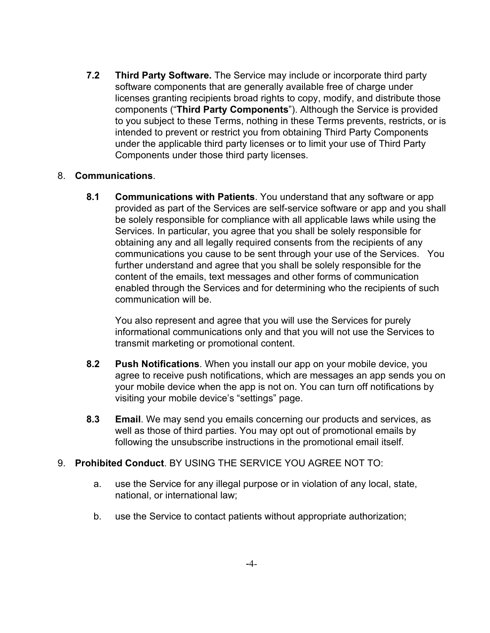**7.2 Third Party Software.** The Service may include or incorporate third party software components that are generally available free of charge under licenses granting recipients broad rights to copy, modify, and distribute those components ("**Third Party Components**"). Although the Service is provided to you subject to these Terms, nothing in these Terms prevents, restricts, or is intended to prevent or restrict you from obtaining Third Party Components under the applicable third party licenses or to limit your use of Third Party Components under those third party licenses.

### 8. **Communications**.

**8.1 Communications with Patients**. You understand that any software or app provided as part of the Services are self-service software or app and you shall be solely responsible for compliance with all applicable laws while using the Services. In particular, you agree that you shall be solely responsible for obtaining any and all legally required consents from the recipients of any communications you cause to be sent through your use of the Services. You further understand and agree that you shall be solely responsible for the content of the emails, text messages and other forms of communication enabled through the Services and for determining who the recipients of such communication will be.

You also represent and agree that you will use the Services for purely informational communications only and that you will not use the Services to transmit marketing or promotional content.

- **8.2 Push Notifications**. When you install our app on your mobile device, you agree to receive push notifications, which are messages an app sends you on your mobile device when the app is not on. You can turn off notifications by visiting your mobile device's "settings" page.
- **8.3 Email**. We may send you emails concerning our products and services, as well as those of third parties. You may opt out of promotional emails by following the unsubscribe instructions in the promotional email itself.

### 9. **Prohibited Conduct**. BY USING THE SERVICE YOU AGREE NOT TO:

- a. use the Service for any illegal purpose or in violation of any local, state, national, or international law;
- b. use the Service to contact patients without appropriate authorization;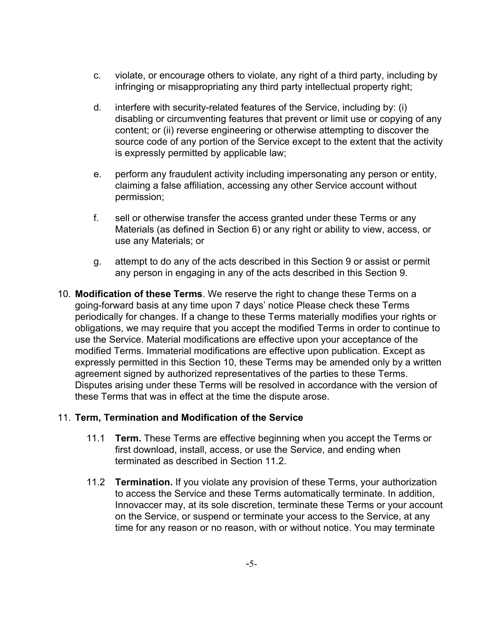- c. violate, or encourage others to violate, any right of a third party, including by infringing or misappropriating any third party intellectual property right;
- d. interfere with security-related features of the Service, including by: (i) disabling or circumventing features that prevent or limit use or copying of any content; or (ii) reverse engineering or otherwise attempting to discover the source code of any portion of the Service except to the extent that the activity is expressly permitted by applicable law;
- e. perform any fraudulent activity including impersonating any person or entity, claiming a false affiliation, accessing any other Service account without permission;
- f. sell or otherwise transfer the access granted under these Terms or any Materials (as defined in Section 6) or any right or ability to view, access, or use any Materials; or
- g. attempt to do any of the acts described in this Section 9 or assist or permit any person in engaging in any of the acts described in this Section 9.
- 10. **Modification of these Terms**. We reserve the right to change these Terms on a going-forward basis at any time upon 7 days' notice Please check these Terms periodically for changes. If a change to these Terms materially modifies your rights or obligations, we may require that you accept the modified Terms in order to continue to use the Service. Material modifications are effective upon your acceptance of the modified Terms. Immaterial modifications are effective upon publication. Except as expressly permitted in this Section 10, these Terms may be amended only by a written agreement signed by authorized representatives of the parties to these Terms. Disputes arising under these Terms will be resolved in accordance with the version of these Terms that was in effect at the time the dispute arose.

### 11. **Term, Termination and Modification of the Service**

- 11.1 **Term.** These Terms are effective beginning when you accept the Terms or first download, install, access, or use the Service, and ending when terminated as described in Section 11.2.
- 11.2 **Termination.** If you violate any provision of these Terms, your authorization to access the Service and these Terms automatically terminate. In addition, Innovaccer may, at its sole discretion, terminate these Terms or your account on the Service, or suspend or terminate your access to the Service, at any time for any reason or no reason, with or without notice. You may terminate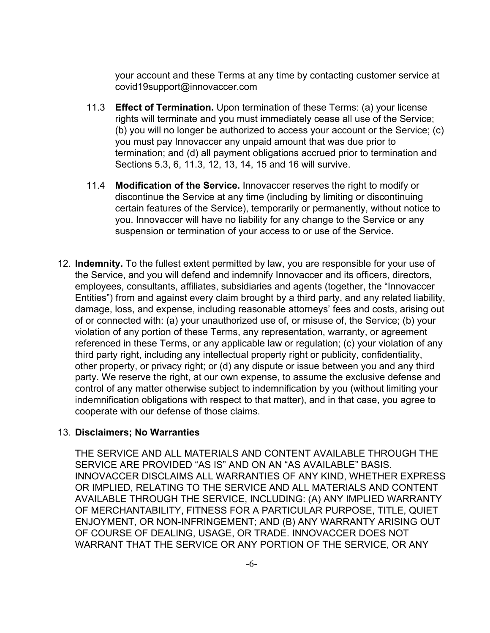your account and these Terms at any time by contacting customer service at covid19support@innovaccer.com

- 11.3 **Effect of Termination.** Upon termination of these Terms: (a) your license rights will terminate and you must immediately cease all use of the Service; (b) you will no longer be authorized to access your account or the Service; (c) you must pay Innovaccer any unpaid amount that was due prior to termination; and (d) all payment obligations accrued prior to termination and Sections 5.3, 6, 11.3, 12, 13, 14, 15 and 16 will survive.
- 11.4 **Modification of the Service.** Innovaccer reserves the right to modify or discontinue the Service at any time (including by limiting or discontinuing certain features of the Service), temporarily or permanently, without notice to you. Innovaccer will have no liability for any change to the Service or any suspension or termination of your access to or use of the Service.
- 12. **Indemnity.** To the fullest extent permitted by law, you are responsible for your use of the Service, and you will defend and indemnify Innovaccer and its officers, directors, employees, consultants, affiliates, subsidiaries and agents (together, the "Innovaccer Entities") from and against every claim brought by a third party, and any related liability, damage, loss, and expense, including reasonable attorneys' fees and costs, arising out of or connected with: (a) your unauthorized use of, or misuse of, the Service; (b) your violation of any portion of these Terms, any representation, warranty, or agreement referenced in these Terms, or any applicable law or regulation; (c) your violation of any third party right, including any intellectual property right or publicity, confidentiality, other property, or privacy right; or (d) any dispute or issue between you and any third party. We reserve the right, at our own expense, to assume the exclusive defense and control of any matter otherwise subject to indemnification by you (without limiting your indemnification obligations with respect to that matter), and in that case, you agree to cooperate with our defense of those claims.

### 13. **Disclaimers; No Warranties**

THE SERVICE AND ALL MATERIALS AND CONTENT AVAILABLE THROUGH THE SERVICE ARE PROVIDED "AS IS" AND ON AN "AS AVAILABLE" BASIS. INNOVACCER DISCLAIMS ALL WARRANTIES OF ANY KIND, WHETHER EXPRESS OR IMPLIED, RELATING TO THE SERVICE AND ALL MATERIALS AND CONTENT AVAILABLE THROUGH THE SERVICE, INCLUDING: (A) ANY IMPLIED WARRANTY OF MERCHANTABILITY, FITNESS FOR A PARTICULAR PURPOSE, TITLE, QUIET ENJOYMENT, OR NON-INFRINGEMENT; AND (B) ANY WARRANTY ARISING OUT OF COURSE OF DEALING, USAGE, OR TRADE. INNOVACCER DOES NOT WARRANT THAT THE SERVICE OR ANY PORTION OF THE SERVICE, OR ANY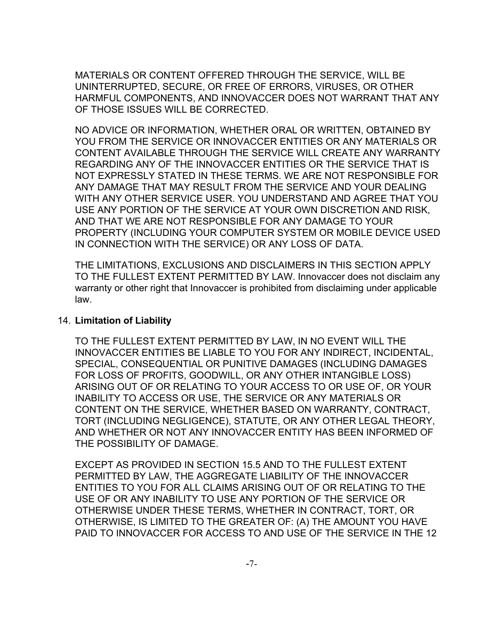MATERIALS OR CONTENT OFFERED THROUGH THE SERVICE, WILL BE UNINTERRUPTED, SECURE, OR FREE OF ERRORS, VIRUSES, OR OTHER HARMFUL COMPONENTS, AND INNOVACCER DOES NOT WARRANT THAT ANY OF THOSE ISSUES WILL BE CORRECTED.

NO ADVICE OR INFORMATION, WHETHER ORAL OR WRITTEN, OBTAINED BY YOU FROM THE SERVICE OR INNOVACCER ENTITIES OR ANY MATERIALS OR CONTENT AVAILABLE THROUGH THE SERVICE WILL CREATE ANY WARRANTY REGARDING ANY OF THE INNOVACCER ENTITIES OR THE SERVICE THAT IS NOT EXPRESSLY STATED IN THESE TERMS. WE ARE NOT RESPONSIBLE FOR ANY DAMAGE THAT MAY RESULT FROM THE SERVICE AND YOUR DEALING WITH ANY OTHER SERVICE USER. YOU UNDERSTAND AND AGREE THAT YOU USE ANY PORTION OF THE SERVICE AT YOUR OWN DISCRETION AND RISK, AND THAT WE ARE NOT RESPONSIBLE FOR ANY DAMAGE TO YOUR PROPERTY (INCLUDING YOUR COMPUTER SYSTEM OR MOBILE DEVICE USED IN CONNECTION WITH THE SERVICE) OR ANY LOSS OF DATA.

THE LIMITATIONS, EXCLUSIONS AND DISCLAIMERS IN THIS SECTION APPLY TO THE FULLEST EXTENT PERMITTED BY LAW. Innovaccer does not disclaim any warranty or other right that Innovaccer is prohibited from disclaiming under applicable law.

#### 14. **Limitation of Liability**

TO THE FULLEST EXTENT PERMITTED BY LAW, IN NO EVENT WILL THE INNOVACCER ENTITIES BE LIABLE TO YOU FOR ANY INDIRECT, INCIDENTAL, SPECIAL, CONSEQUENTIAL OR PUNITIVE DAMAGES (INCLUDING DAMAGES FOR LOSS OF PROFITS, GOODWILL, OR ANY OTHER INTANGIBLE LOSS) ARISING OUT OF OR RELATING TO YOUR ACCESS TO OR USE OF, OR YOUR INABILITY TO ACCESS OR USE, THE SERVICE OR ANY MATERIALS OR CONTENT ON THE SERVICE, WHETHER BASED ON WARRANTY, CONTRACT, TORT (INCLUDING NEGLIGENCE), STATUTE, OR ANY OTHER LEGAL THEORY, AND WHETHER OR NOT ANY INNOVACCER ENTITY HAS BEEN INFORMED OF THE POSSIBILITY OF DAMAGE.

EXCEPT AS PROVIDED IN SECTION 15.5 AND TO THE FULLEST EXTENT PERMITTED BY LAW, THE AGGREGATE LIABILITY OF THE INNOVACCER ENTITIES TO YOU FOR ALL CLAIMS ARISING OUT OF OR RELATING TO THE USE OF OR ANY INABILITY TO USE ANY PORTION OF THE SERVICE OR OTHERWISE UNDER THESE TERMS, WHETHER IN CONTRACT, TORT, OR OTHERWISE, IS LIMITED TO THE GREATER OF: (A) THE AMOUNT YOU HAVE PAID TO INNOVACCER FOR ACCESS TO AND USE OF THE SERVICE IN THE 12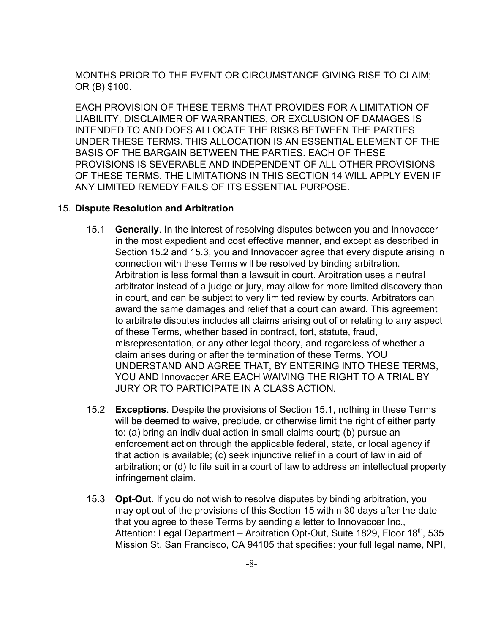MONTHS PRIOR TO THE EVENT OR CIRCUMSTANCE GIVING RISE TO CLAIM; OR (B) \$100.

EACH PROVISION OF THESE TERMS THAT PROVIDES FOR A LIMITATION OF LIABILITY, DISCLAIMER OF WARRANTIES, OR EXCLUSION OF DAMAGES IS INTENDED TO AND DOES ALLOCATE THE RISKS BETWEEN THE PARTIES UNDER THESE TERMS. THIS ALLOCATION IS AN ESSENTIAL ELEMENT OF THE BASIS OF THE BARGAIN BETWEEN THE PARTIES. EACH OF THESE PROVISIONS IS SEVERABLE AND INDEPENDENT OF ALL OTHER PROVISIONS OF THESE TERMS. THE LIMITATIONS IN THIS SECTION 14 WILL APPLY EVEN IF ANY LIMITED REMEDY FAILS OF ITS ESSENTIAL PURPOSE.

#### 15. **Dispute Resolution and Arbitration**

- 15.1 **Generally**. In the interest of resolving disputes between you and Innovaccer in the most expedient and cost effective manner, and except as described in Section 15.2 and 15.3, you and Innovaccer agree that every dispute arising in connection with these Terms will be resolved by binding arbitration. Arbitration is less formal than a lawsuit in court. Arbitration uses a neutral arbitrator instead of a judge or jury, may allow for more limited discovery than in court, and can be subject to very limited review by courts. Arbitrators can award the same damages and relief that a court can award. This agreement to arbitrate disputes includes all claims arising out of or relating to any aspect of these Terms, whether based in contract, tort, statute, fraud, misrepresentation, or any other legal theory, and regardless of whether a claim arises during or after the termination of these Terms. YOU UNDERSTAND AND AGREE THAT, BY ENTERING INTO THESE TERMS, YOU AND Innovaccer ARE EACH WAIVING THE RIGHT TO A TRIAL BY JURY OR TO PARTICIPATE IN A CLASS ACTION.
- 15.2 **Exceptions**. Despite the provisions of Section 15.1, nothing in these Terms will be deemed to waive, preclude, or otherwise limit the right of either party to: (a) bring an individual action in small claims court; (b) pursue an enforcement action through the applicable federal, state, or local agency if that action is available; (c) seek injunctive relief in a court of law in aid of arbitration; or (d) to file suit in a court of law to address an intellectual property infringement claim.
- 15.3 **Opt-Out**. If you do not wish to resolve disputes by binding arbitration, you may opt out of the provisions of this Section 15 within 30 days after the date that you agree to these Terms by sending a letter to Innovaccer Inc., Attention: Legal Department – Arbitration Opt-Out, Suite 1829, Floor 18<sup>th</sup>, 535 Mission St, San Francisco, CA 94105 that specifies: your full legal name, NPI,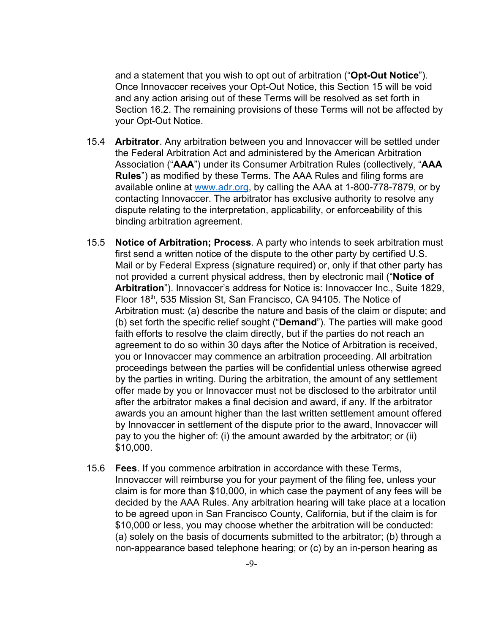and a statement that you wish to opt out of arbitration ("**Opt-Out Notice**"). Once Innovaccer receives your Opt-Out Notice, this Section 15 will be void and any action arising out of these Terms will be resolved as set forth in Section 16.2. The remaining provisions of these Terms will not be affected by your Opt-Out Notice.

- 15.4 **Arbitrator**. Any arbitration between you and Innovaccer will be settled under the Federal Arbitration Act and administered by the American Arbitration Association ("**AAA**") under its Consumer Arbitration Rules (collectively, "**AAA Rules**") as modified by these Terms. The AAA Rules and filing forms are available online at [www.adr.org](http://www.adr.org/), by calling the AAA at 1-800-778-7879, or by contacting Innovaccer. The arbitrator has exclusive authority to resolve any dispute relating to the interpretation, applicability, or enforceability of this binding arbitration agreement.
- 15.5 **Notice of Arbitration; Process**. A party who intends to seek arbitration must first send a written notice of the dispute to the other party by certified U.S. Mail or by Federal Express (signature required) or, only if that other party has not provided a current physical address, then by electronic mail ("**Notice of Arbitration**"). Innovaccer's address for Notice is: Innovaccer Inc., Suite 1829, Floor 18<sup>th</sup>, 535 Mission St, San Francisco, CA 94105. The Notice of Arbitration must: (a) describe the nature and basis of the claim or dispute; and (b) set forth the specific relief sought ("**Demand**"). The parties will make good faith efforts to resolve the claim directly, but if the parties do not reach an agreement to do so within 30 days after the Notice of Arbitration is received, you or Innovaccer may commence an arbitration proceeding. All arbitration proceedings between the parties will be confidential unless otherwise agreed by the parties in writing. During the arbitration, the amount of any settlement offer made by you or Innovaccer must not be disclosed to the arbitrator until after the arbitrator makes a final decision and award, if any. If the arbitrator awards you an amount higher than the last written settlement amount offered by Innovaccer in settlement of the dispute prior to the award, Innovaccer will pay to you the higher of: (i) the amount awarded by the arbitrator; or (ii) \$10,000.
- 15.6 **Fees**. If you commence arbitration in accordance with these Terms, Innovaccer will reimburse you for your payment of the filing fee, unless your claim is for more than \$10,000, in which case the payment of any fees will be decided by the AAA Rules. Any arbitration hearing will take place at a location to be agreed upon in San Francisco County, California, but if the claim is for \$10,000 or less, you may choose whether the arbitration will be conducted: (a) solely on the basis of documents submitted to the arbitrator; (b) through a non-appearance based telephone hearing; or (c) by an in-person hearing as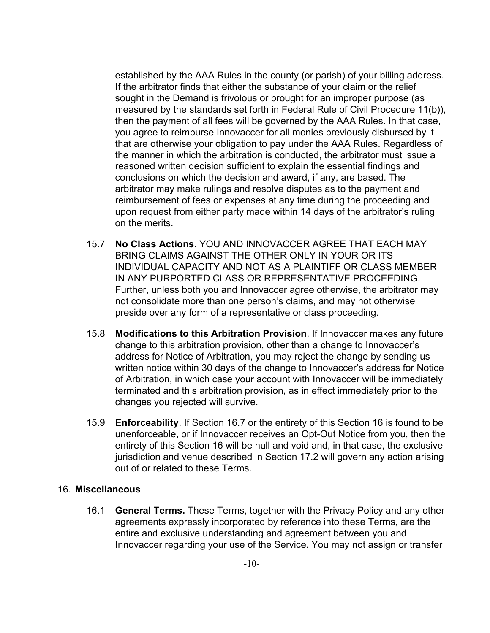established by the AAA Rules in the county (or parish) of your billing address. If the arbitrator finds that either the substance of your claim or the relief sought in the Demand is frivolous or brought for an improper purpose (as measured by the standards set forth in Federal Rule of Civil Procedure 11(b)), then the payment of all fees will be governed by the AAA Rules. In that case, you agree to reimburse Innovaccer for all monies previously disbursed by it that are otherwise your obligation to pay under the AAA Rules. Regardless of the manner in which the arbitration is conducted, the arbitrator must issue a reasoned written decision sufficient to explain the essential findings and conclusions on which the decision and award, if any, are based. The arbitrator may make rulings and resolve disputes as to the payment and reimbursement of fees or expenses at any time during the proceeding and upon request from either party made within 14 days of the arbitrator's ruling on the merits.

- 15.7 **No Class Actions**. YOU AND INNOVACCER AGREE THAT EACH MAY BRING CLAIMS AGAINST THE OTHER ONLY IN YOUR OR ITS INDIVIDUAL CAPACITY AND NOT AS A PLAINTIFF OR CLASS MEMBER IN ANY PURPORTED CLASS OR REPRESENTATIVE PROCEEDING. Further, unless both you and Innovaccer agree otherwise, the arbitrator may not consolidate more than one person's claims, and may not otherwise preside over any form of a representative or class proceeding.
- 15.8 **Modifications to this Arbitration Provision**. If Innovaccer makes any future change to this arbitration provision, other than a change to Innovaccer's address for Notice of Arbitration, you may reject the change by sending us written notice within 30 days of the change to Innovaccer's address for Notice of Arbitration, in which case your account with Innovaccer will be immediately terminated and this arbitration provision, as in effect immediately prior to the changes you rejected will survive.
- 15.9 **Enforceability**. If Section 16.7 or the entirety of this Section 16 is found to be unenforceable, or if Innovaccer receives an Opt-Out Notice from you, then the entirety of this Section 16 will be null and void and, in that case, the exclusive jurisdiction and venue described in Section 17.2 will govern any action arising out of or related to these Terms.

### 16. **Miscellaneous**

16.1 **General Terms.** These Terms, together with the Privacy Policy and any other agreements expressly incorporated by reference into these Terms, are the entire and exclusive understanding and agreement between you and Innovaccer regarding your use of the Service. You may not assign or transfer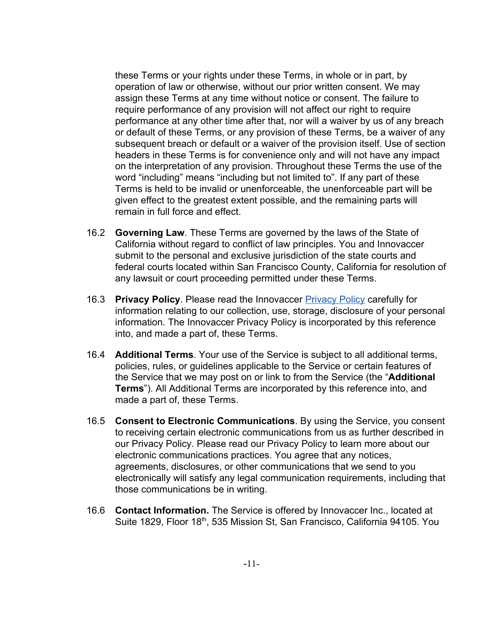these Terms or your rights under these Terms, in whole or in part, by operation of law or otherwise, without our prior written consent. We may assign these Terms at any time without notice or consent. The failure to require performance of any provision will not affect our right to require performance at any other time after that, nor will a waiver by us of any breach or default of these Terms, or any provision of these Terms, be a waiver of any subsequent breach or default or a waiver of the provision itself. Use of section headers in these Terms is for convenience only and will not have any impact on the interpretation of any provision. Throughout these Terms the use of the word "including" means "including but not limited to". If any part of these Terms is held to be invalid or unenforceable, the unenforceable part will be given effect to the greatest extent possible, and the remaining parts will remain in full force and effect.

- 16.2 **Governing Law**. These Terms are governed by the laws of the State of California without regard to conflict of law principles. You and Innovaccer submit to the personal and exclusive jurisdiction of the state courts and federal courts located within San Francisco County, California for resolution of any lawsuit or court proceeding permitted under these Terms.
- 16.3 **Privacy Policy**. Please read the Innovaccer [Privacy Policy](https://innovaccer.com/privacy/) carefully for information relating to our collection, use, storage, disclosure of your personal information. The Innovaccer Privacy Policy is incorporated by this reference into, and made a part of, these Terms.
- 16.4 **Additional Terms**. Your use of the Service is subject to all additional terms, policies, rules, or guidelines applicable to the Service or certain features of the Service that we may post on or link to from the Service (the "**Additional Terms**"). All Additional Terms are incorporated by this reference into, and made a part of, these Terms.
- 16.5 **Consent to Electronic Communications**. By using the Service, you consent to receiving certain electronic communications from us as further described in our Privacy Policy. Please read our Privacy Policy to learn more about our electronic communications practices. You agree that any notices, agreements, disclosures, or other communications that we send to you electronically will satisfy any legal communication requirements, including that those communications be in writing.
- 16.6 **Contact Information.** The Service is offered by Innovaccer Inc., located at Suite 1829, Floor 18<sup>th</sup>, 535 Mission St, San Francisco, California 94105. You